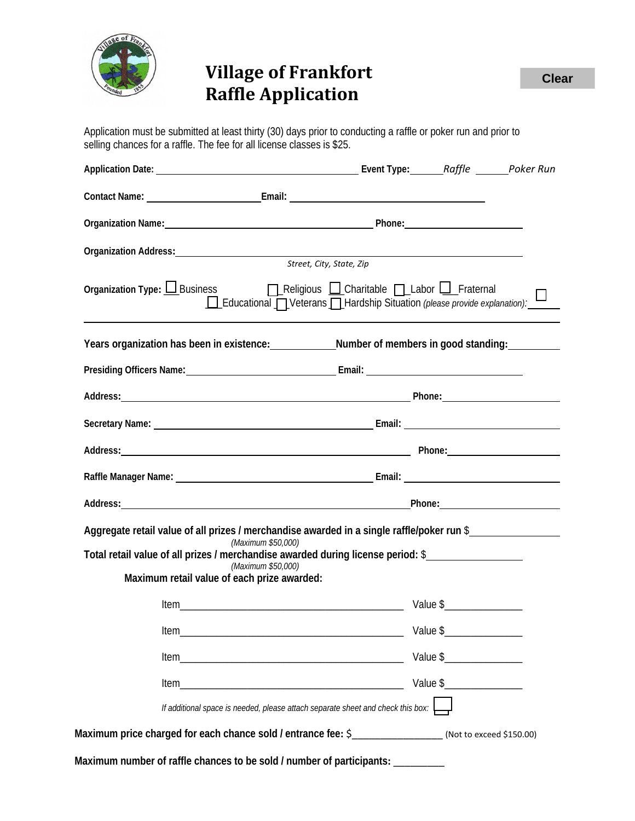

## **Village of Frankfort Raffle Application**

Application must be submitted at least thirty (30) days prior to conducting a raffle or poker run and prior to selling chances for a raffle. The fee for all license classes is \$25.

| Organization Name: 1990 Mame: 2008 Mamedale Phone: 2008 Mamedale Phone: 2008 Mamedale Phone: 2008 Mamedale Phone                                                                                                               |                          |          |  |
|--------------------------------------------------------------------------------------------------------------------------------------------------------------------------------------------------------------------------------|--------------------------|----------|--|
|                                                                                                                                                                                                                                |                          |          |  |
|                                                                                                                                                                                                                                | Street, City, State, Zip |          |  |
| Organization Type: <u>□</u> Business<br>□ Religious □ Charitable □ Labor □ Fraternal<br>Educational DVeterans DHardship Situation (please provide explanation):                                                                |                          |          |  |
| Years organization has been in existence: Number of members in good standing:                                                                                                                                                  |                          |          |  |
|                                                                                                                                                                                                                                |                          |          |  |
| Address: Phone: Phone: Phone: Phone: Phone: Phone: Phone: Phone: Phone: Phone: Phone: Phone: Phone: Phone: Phone: Phone: Phone: Phone: Phone: Phone: Phone: Phone: Phone: Phone: Phone: Phone: Phone: Phone: Phone: Phone: Pho |                          |          |  |
|                                                                                                                                                                                                                                |                          |          |  |
|                                                                                                                                                                                                                                |                          |          |  |
|                                                                                                                                                                                                                                |                          |          |  |
|                                                                                                                                                                                                                                |                          |          |  |
| Aggregate retail value of all prizes / merchandise awarded in a single raffle/poker run \$                                                                                                                                     |                          |          |  |
| (Maximum \$50,000)<br>Total retail value of all prizes / merchandise awarded during license period: \$                                                                                                                         |                          |          |  |
| (Maximum \$50,000)<br>Maximum retail value of each prize awarded:                                                                                                                                                              |                          |          |  |
|                                                                                                                                                                                                                                |                          |          |  |
| <b>Item</b>                                                                                                                                                                                                                    |                          | Value \$ |  |
| Item                                                                                                                                                                                                                           |                          |          |  |
| ltem                                                                                                                                                                                                                           |                          |          |  |
| If additional space is needed, please attach separate sheet and check this box: $\Box$                                                                                                                                         |                          |          |  |
| Maximum price charged for each chance sold / entrance fee: \$                                                                                                                                                                  |                          |          |  |
| Maximum number of raffle chances to be sold / number of participants: _________                                                                                                                                                |                          |          |  |

**Clear**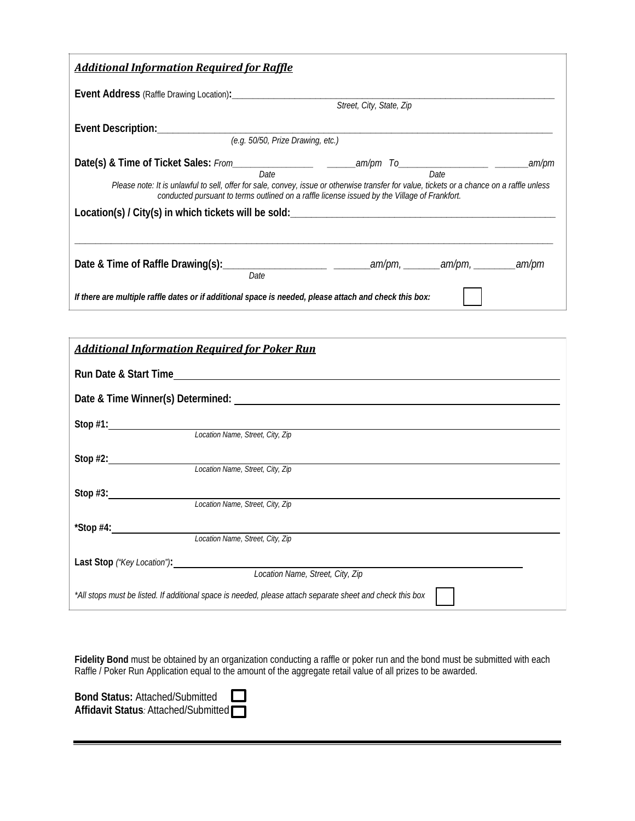| <b>Additional Information Required for Raffle</b>                                                                                                                                                                                                                    |  |  |  |  |  |
|----------------------------------------------------------------------------------------------------------------------------------------------------------------------------------------------------------------------------------------------------------------------|--|--|--|--|--|
| Street, City, State, Zip                                                                                                                                                                                                                                             |  |  |  |  |  |
| (e.g. 50/50, Prize Drawing, etc.)                                                                                                                                                                                                                                    |  |  |  |  |  |
| .am/pm<br>Date<br>Date<br>Please note: It is unlawful to sell, offer for sale, convey, issue or otherwise transfer for value, tickets or a chance on a raffle unless<br>conducted pursuant to terms outlined on a raffle license issued by the Village of Frankfort. |  |  |  |  |  |
| Location(s) / City(s) in which tickets will be sold: ___________________________                                                                                                                                                                                     |  |  |  |  |  |
| Date                                                                                                                                                                                                                                                                 |  |  |  |  |  |
| If there are multiple raffle dates or if additional space is needed, please attach and check this box:                                                                                                                                                               |  |  |  |  |  |

| <b>Additional Information Required for Poker Run</b>                                                      |                                  |  |  |  |
|-----------------------------------------------------------------------------------------------------------|----------------------------------|--|--|--|
| Run Date & Start Time                                                                                     |                                  |  |  |  |
|                                                                                                           |                                  |  |  |  |
|                                                                                                           |                                  |  |  |  |
|                                                                                                           | Location Name, Street, City, Zip |  |  |  |
| Stop #2: $\frac{2}{2}$                                                                                    |                                  |  |  |  |
|                                                                                                           | Location Name, Street, City, Zip |  |  |  |
| Stop $#3$ : $\qquad \qquad$                                                                               | Location Name, Street, City, Zip |  |  |  |
| $*$ Stop #4:                                                                                              |                                  |  |  |  |
|                                                                                                           | Location Name, Street, City, Zip |  |  |  |
|                                                                                                           |                                  |  |  |  |
| Location Name, Street, City, Zip                                                                          |                                  |  |  |  |
| *All stops must be listed. If additional space is needed, please attach separate sheet and check this box |                                  |  |  |  |

**Fidelity Bond** must be obtained by an organization conducting a raffle or poker run and the bond must be submitted with each Raffle / Poker Run Application equal to the amount of the aggregate retail value of all prizes to be awarded.

Bond Status: Attached/Submitted **Affidavit Status***:* Attached/Submitted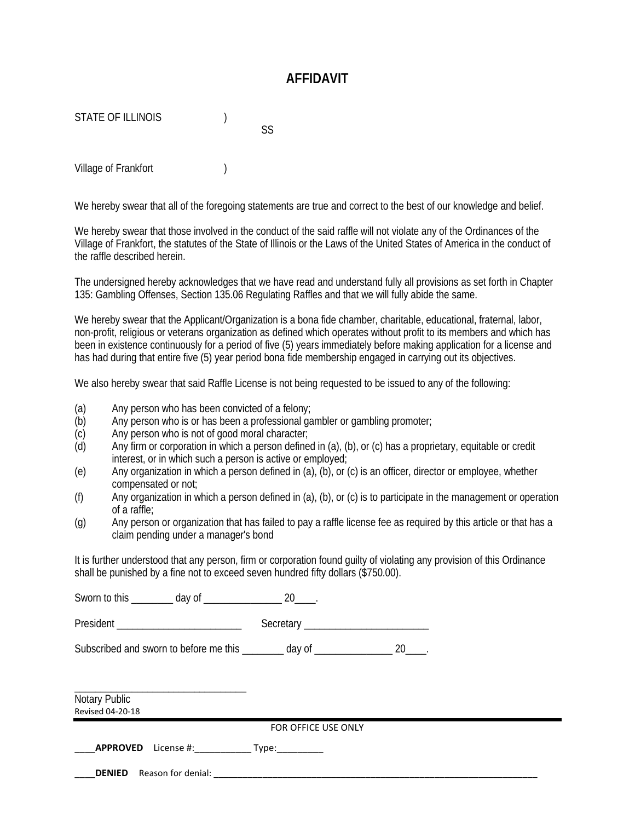## **AFFIDAVIT**

STATE OF ILLINOIS (1997)

Village of Frankfort (1998)

We hereby swear that all of the foregoing statements are true and correct to the best of our knowledge and belief.

SS

We hereby swear that those involved in the conduct of the said raffle will not violate any of the Ordinances of the Village of Frankfort, the statutes of the State of Illinois or the Laws of the United States of America in the conduct of the raffle described herein.

The undersigned hereby acknowledges that we have read and understand fully all provisions as set forth in Chapter 135: Gambling Offenses, Section 135.06 Regulating Raffles and that we will fully abide the same.

We hereby swear that the Applicant/Organization is a bona fide chamber, charitable, educational, fraternal, labor, non-profit, religious or veterans organization as defined which operates without profit to its members and which has been in existence continuously for a period of five (5) years immediately before making application for a license and has had during that entire five (5) year period bona fide membership engaged in carrying out its objectives.

We also hereby swear that said Raffle License is not being requested to be issued to any of the following:

- (a) Any person who has been convicted of a felony;
- (b) Any person who is or has been a professional gambler or gambling promoter;
- (c) Any person who is not of good moral character;
- (d) Any firm or corporation in which a person defined in (a), (b), or (c) has a proprietary, equitable or credit interest, or in which such a person is active or employed;
- (e) Any organization in which a person defined in (a), (b), or (c) is an officer, director or employee, whether compensated or not;
- $(f)$  Any organization in which a person defined in (a), (b), or (c) is to participate in the management or operation of a raffle;
- (g) Any person or organization that has failed to pay a raffle license fee as required by this article or that has a claim pending under a manager's bond

It is further understood that any person, firm or corporation found guilty of violating any provision of this Ordinance shall be punished by a fine not to exceed seven hundred fifty dollars (\$750.00).

| Subscribed and sworn to before me this ________ day of _________________________ 20_____. |                     |  |  |
|-------------------------------------------------------------------------------------------|---------------------|--|--|
| Notary Public<br>Revised 04-20-18                                                         |                     |  |  |
|                                                                                           | FOR OFFICE USE ONLY |  |  |
|                                                                                           |                     |  |  |
|                                                                                           |                     |  |  |